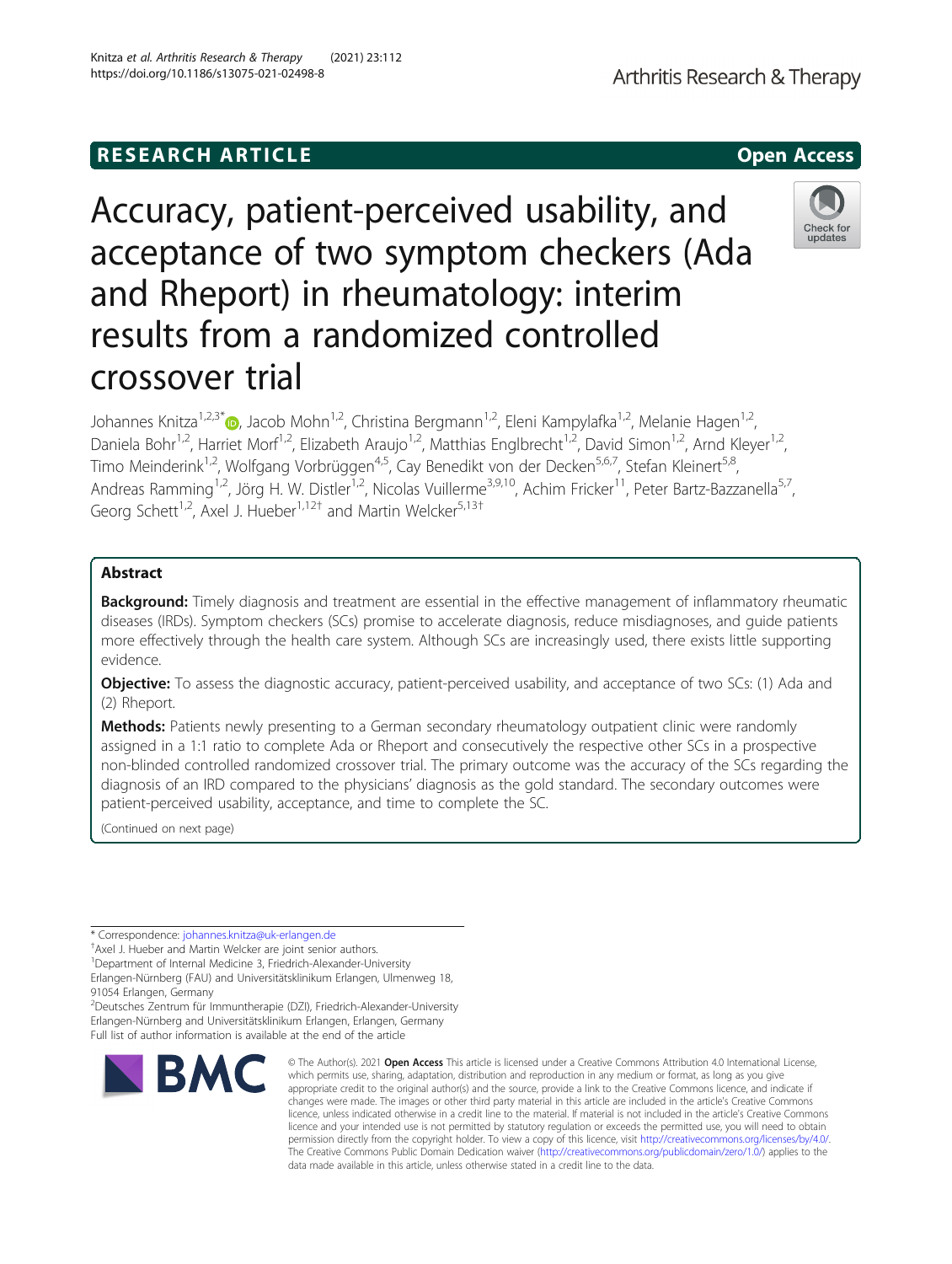# **RESEARCH ARTICLE Example 2014 12:30 The SEAR CH ACCESS**

# Accuracy, patient-perceived usability, and acceptance of two symptom checkers (Ada and Rheport) in rheumatology: interim results from a randomized controlled crossover trial

Johannes Knitza<sup>1[,](http://orcid.org/0000-0001-9695-0657)2,3\*</sup> (D. Jacob Mohn<sup>1,2</sup>, Christina Bergmann<sup>1,2</sup>, Eleni Kampylafka<sup>1,2</sup>, Melanie Hagen<sup>1,2</sup>, Daniela Bohr<sup>1,2</sup>, Harriet Morf<sup>1,2</sup>, Elizabeth Araujo<sup>1,2</sup>, Matthias Englbrecht<sup>1,2</sup>, David Simon<sup>1,2</sup>, Arnd Kleyer<sup>1,2</sup>, Timo Meinderink<sup>1,2</sup>, Wolfgang Vorbrüggen<sup>4,5</sup>, Cay Benedikt von der Decken<sup>5,6,7</sup>, Stefan Kleinert<sup>5,8</sup>, Andreas Ramming<sup>1,2</sup>, Jörg H. W. Distler<sup>1,2</sup>, Nicolas Vuillerme<sup>3,9,10</sup>, Achim Fricker<sup>11</sup>, Peter Bartz-Bazzanella<sup>5,7</sup>, Georg Schett<sup>1,2</sup>, Axel J. Hueber<sup>1,12†</sup> and Martin Welcker<sup>5,13†</sup>

# Abstract

Background: Timely diagnosis and treatment are essential in the effective management of inflammatory rheumatic diseases (IRDs). Symptom checkers (SCs) promise to accelerate diagnosis, reduce misdiagnoses, and guide patients more effectively through the health care system. Although SCs are increasingly used, there exists little supporting evidence.

Objective: To assess the diagnostic accuracy, patient-perceived usability, and acceptance of two SCs: (1) Ada and (2) Rheport.

Methods: Patients newly presenting to a German secondary rheumatology outpatient clinic were randomly assigned in a 1:1 ratio to complete Ada or Rheport and consecutively the respective other SCs in a prospective non-blinded controlled randomized crossover trial. The primary outcome was the accuracy of the SCs regarding the diagnosis of an IRD compared to the physicians' diagnosis as the gold standard. The secondary outcomes were patient-perceived usability, acceptance, and time to complete the SC.

(Continued on next page)

\* Correspondence: [johannes.knitza@uk-erlangen.de](mailto:johannes.knitza@uk-erlangen.de) †

**BMC** 

<sup>+</sup>Axel J. Hueber and Martin Welcker are joint senior authors.

<sup>1</sup>Department of Internal Medicine 3, Friedrich-Alexander-University Erlangen-Nürnberg (FAU) and Universitätsklinikum Erlangen, Ulmenweg 18,

91054 Erlangen, Germany 2 Deutsches Zentrum für Immuntherapie (DZI), Friedrich-Alexander-University Erlangen-Nürnberg and Universitätsklinikum Erlangen, Erlangen, Germany Full list of author information is available at the end of the article

© The Author(s), 2021 **Open Access** This article is licensed under a Creative Commons Attribution 4.0 International License, which permits use, sharing, adaptation, distribution and reproduction in any medium or format, as long as you give appropriate credit to the original author(s) and the source, provide a link to the Creative Commons licence, and indicate if changes were made. The images or other third party material in this article are included in the article's Creative Commons licence, unless indicated otherwise in a credit line to the material. If material is not included in the article's Creative Commons licence and your intended use is not permitted by statutory regulation or exceeds the permitted use, you will need to obtain permission directly from the copyright holder. To view a copy of this licence, visit [http://creativecommons.org/licenses/by/4.0/.](http://creativecommons.org/licenses/by/4.0/) The Creative Commons Public Domain Dedication waiver [\(http://creativecommons.org/publicdomain/zero/1.0/](http://creativecommons.org/publicdomain/zero/1.0/)) applies to the data made available in this article, unless otherwise stated in a credit line to the data.





Knitza et al. Arthritis Research & Therapy (2021) 23:112 https://doi.org/10.1186/s13075-021-02498-8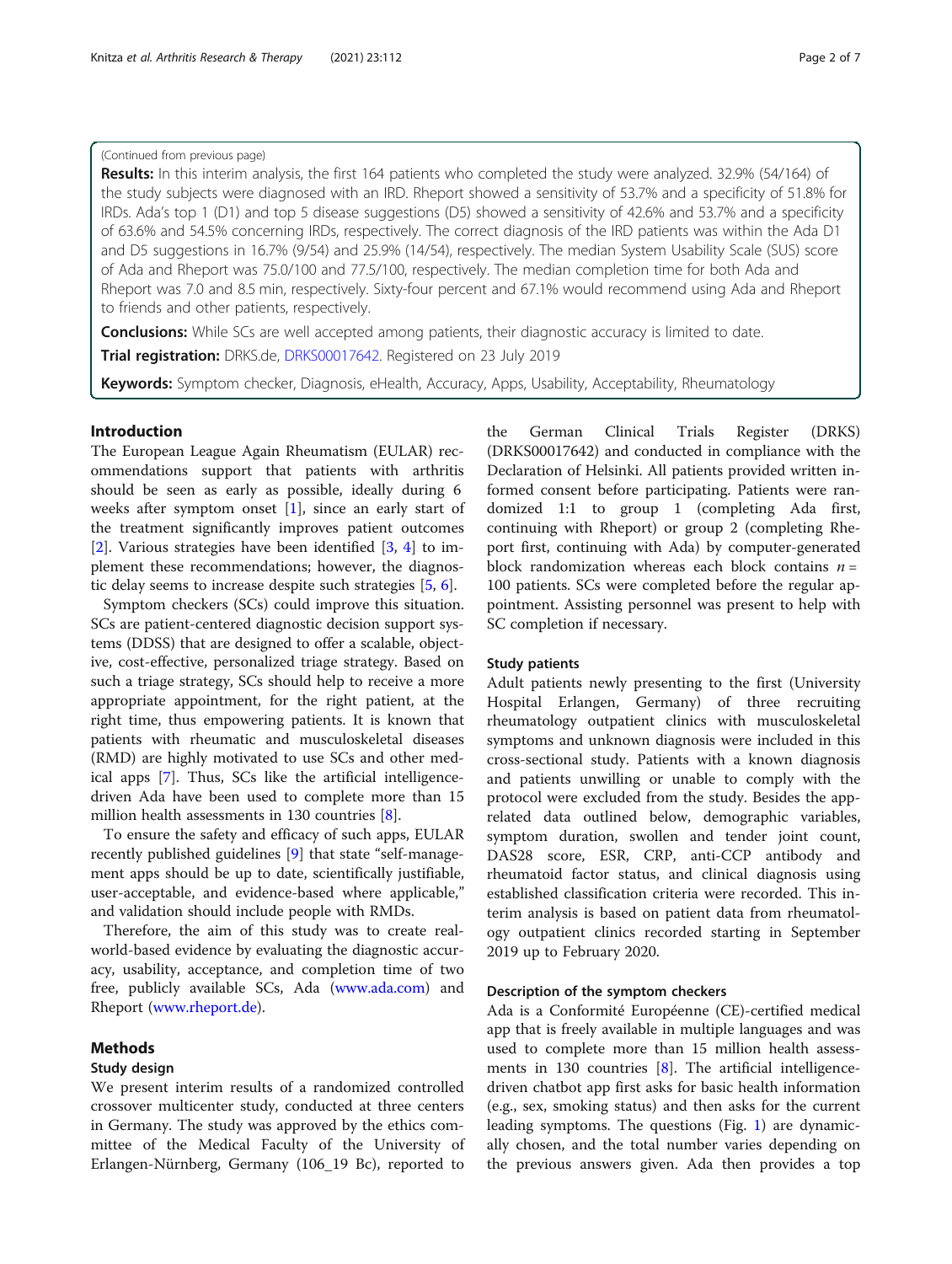### (Continued from previous page)

Results: In this interim analysis, the first 164 patients who completed the study were analyzed. 32.9% (54/164) of the study subjects were diagnosed with an IRD. Rheport showed a sensitivity of 53.7% and a specificity of 51.8% for IRDs. Ada's top 1 (D1) and top 5 disease suggestions (D5) showed a sensitivity of 42.6% and 53.7% and a specificity of 63.6% and 54.5% concerning IRDs, respectively. The correct diagnosis of the IRD patients was within the Ada D1 and D5 suggestions in 16.7% (9/54) and 25.9% (14/54), respectively. The median System Usability Scale (SUS) score of Ada and Rheport was 75.0/100 and 77.5/100, respectively. The median completion time for both Ada and Rheport was 7.0 and 8.5 min, respectively. Sixty-four percent and 67.1% would recommend using Ada and Rheport to friends and other patients, respectively.

**Conclusions:** While SCs are well accepted among patients, their diagnostic accuracy is limited to date.

Trial registration: DRKS.de, [DRKS00017642](https://www.drks.de/drks_web/navigate.do?navigationId=trial.HTML&TRIAL_ID=DRKS00017642). Registered on 23 July 2019

Keywords: Symptom checker, Diagnosis, eHealth, Accuracy, Apps, Usability, Acceptability, Rheumatology

#### Introduction

The European League Again Rheumatism (EULAR) recommendations support that patients with arthritis should be seen as early as possible, ideally during 6 weeks after symptom onset  $[1]$  $[1]$ , since an early start of the treatment significantly improves patient outcomes [[2\]](#page-6-0). Various strategies have been identified [[3,](#page-6-0) [4](#page-6-0)] to implement these recommendations; however, the diagnostic delay seems to increase despite such strategies [[5,](#page-6-0) [6\]](#page-6-0).

Symptom checkers (SCs) could improve this situation. SCs are patient-centered diagnostic decision support systems (DDSS) that are designed to offer a scalable, objective, cost-effective, personalized triage strategy. Based on such a triage strategy, SCs should help to receive a more appropriate appointment, for the right patient, at the right time, thus empowering patients. It is known that patients with rheumatic and musculoskeletal diseases (RMD) are highly motivated to use SCs and other medical apps [\[7\]](#page-6-0). Thus, SCs like the artificial intelligencedriven Ada have been used to complete more than 15 million health assessments in 130 countries [[8\]](#page-6-0).

To ensure the safety and efficacy of such apps, EULAR recently published guidelines [\[9](#page-6-0)] that state "self-management apps should be up to date, scientifically justifiable, user-acceptable, and evidence-based where applicable," and validation should include people with RMDs.

Therefore, the aim of this study was to create realworld-based evidence by evaluating the diagnostic accuracy, usability, acceptance, and completion time of two free, publicly available SCs, Ada ([www.ada.com](http://www.ada.com)) and Rheport ([www.rheport.de\)](http://www.rheport.de).

#### Methods

#### Study design

We present interim results of a randomized controlled crossover multicenter study, conducted at three centers in Germany. The study was approved by the ethics committee of the Medical Faculty of the University of Erlangen-Nürnberg, Germany (106\_19 Bc), reported to

the German Clinical Trials Register (DRKS) (DRKS00017642) and conducted in compliance with the Declaration of Helsinki. All patients provided written informed consent before participating. Patients were randomized 1:1 to group 1 (completing Ada first, continuing with Rheport) or group 2 (completing Rheport first, continuing with Ada) by computer-generated block randomization whereas each block contains  $n =$ 100 patients. SCs were completed before the regular appointment. Assisting personnel was present to help with SC completion if necessary.

#### Study patients

Adult patients newly presenting to the first (University Hospital Erlangen, Germany) of three recruiting rheumatology outpatient clinics with musculoskeletal symptoms and unknown diagnosis were included in this cross-sectional study. Patients with a known diagnosis and patients unwilling or unable to comply with the protocol were excluded from the study. Besides the apprelated data outlined below, demographic variables, symptom duration, swollen and tender joint count, DAS28 score, ESR, CRP, anti-CCP antibody and rheumatoid factor status, and clinical diagnosis using established classification criteria were recorded. This interim analysis is based on patient data from rheumatology outpatient clinics recorded starting in September 2019 up to February 2020.

#### Description of the symptom checkers

Ada is a Conformité Européenne (CE)-certified medical app that is freely available in multiple languages and was used to complete more than 15 million health assessments in 130 countries  $[8]$  $[8]$ . The artificial intelligencedriven chatbot app first asks for basic health information (e.g., sex, smoking status) and then asks for the current leading symptoms. The questions (Fig. [1](#page-2-0)) are dynamically chosen, and the total number varies depending on the previous answers given. Ada then provides a top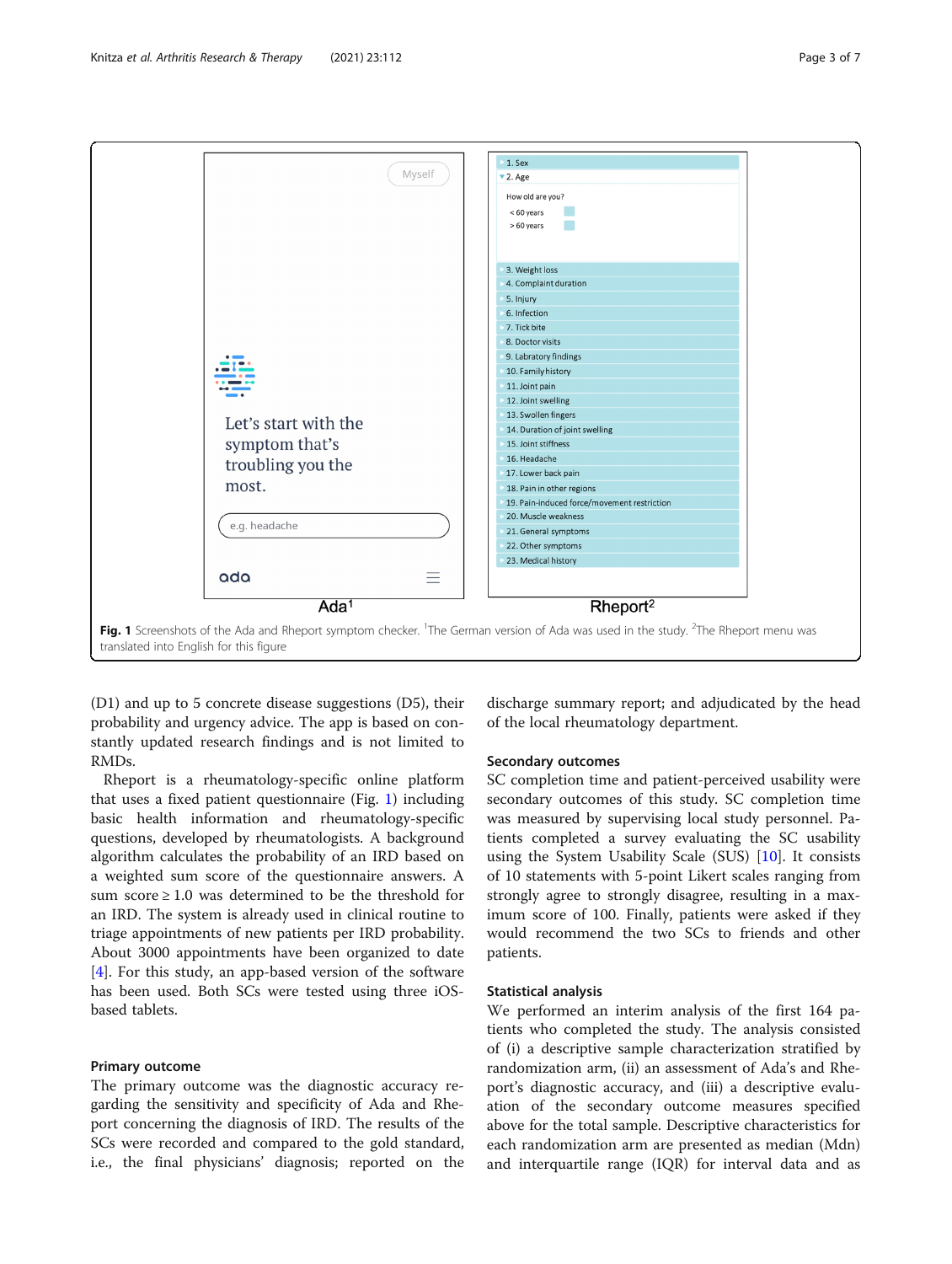<span id="page-2-0"></span>

(D1) and up to 5 concrete disease suggestions (D5), their probability and urgency advice. The app is based on constantly updated research findings and is not limited to RMDs.

Rheport is a rheumatology-specific online platform that uses a fixed patient questionnaire (Fig. 1) including basic health information and rheumatology-specific questions, developed by rheumatologists. A background algorithm calculates the probability of an IRD based on a weighted sum score of the questionnaire answers. A sum score  $\geq 1.0$  was determined to be the threshold for an IRD. The system is already used in clinical routine to triage appointments of new patients per IRD probability. About 3000 appointments have been organized to date [[4\]](#page-6-0). For this study, an app-based version of the software has been used. Both SCs were tested using three iOSbased tablets.

#### Primary outcome

The primary outcome was the diagnostic accuracy regarding the sensitivity and specificity of Ada and Rheport concerning the diagnosis of IRD. The results of the SCs were recorded and compared to the gold standard, i.e., the final physicians' diagnosis; reported on the

discharge summary report; and adjudicated by the head of the local rheumatology department.

#### Secondary outcomes

SC completion time and patient-perceived usability were secondary outcomes of this study. SC completion time was measured by supervising local study personnel. Patients completed a survey evaluating the SC usability using the System Usability Scale (SUS) [[10](#page-6-0)]. It consists of 10 statements with 5-point Likert scales ranging from strongly agree to strongly disagree, resulting in a maximum score of 100. Finally, patients were asked if they would recommend the two SCs to friends and other patients.

#### Statistical analysis

We performed an interim analysis of the first 164 patients who completed the study. The analysis consisted of (i) a descriptive sample characterization stratified by randomization arm, (ii) an assessment of Ada's and Rheport's diagnostic accuracy, and (iii) a descriptive evaluation of the secondary outcome measures specified above for the total sample. Descriptive characteristics for each randomization arm are presented as median (Mdn) and interquartile range (IQR) for interval data and as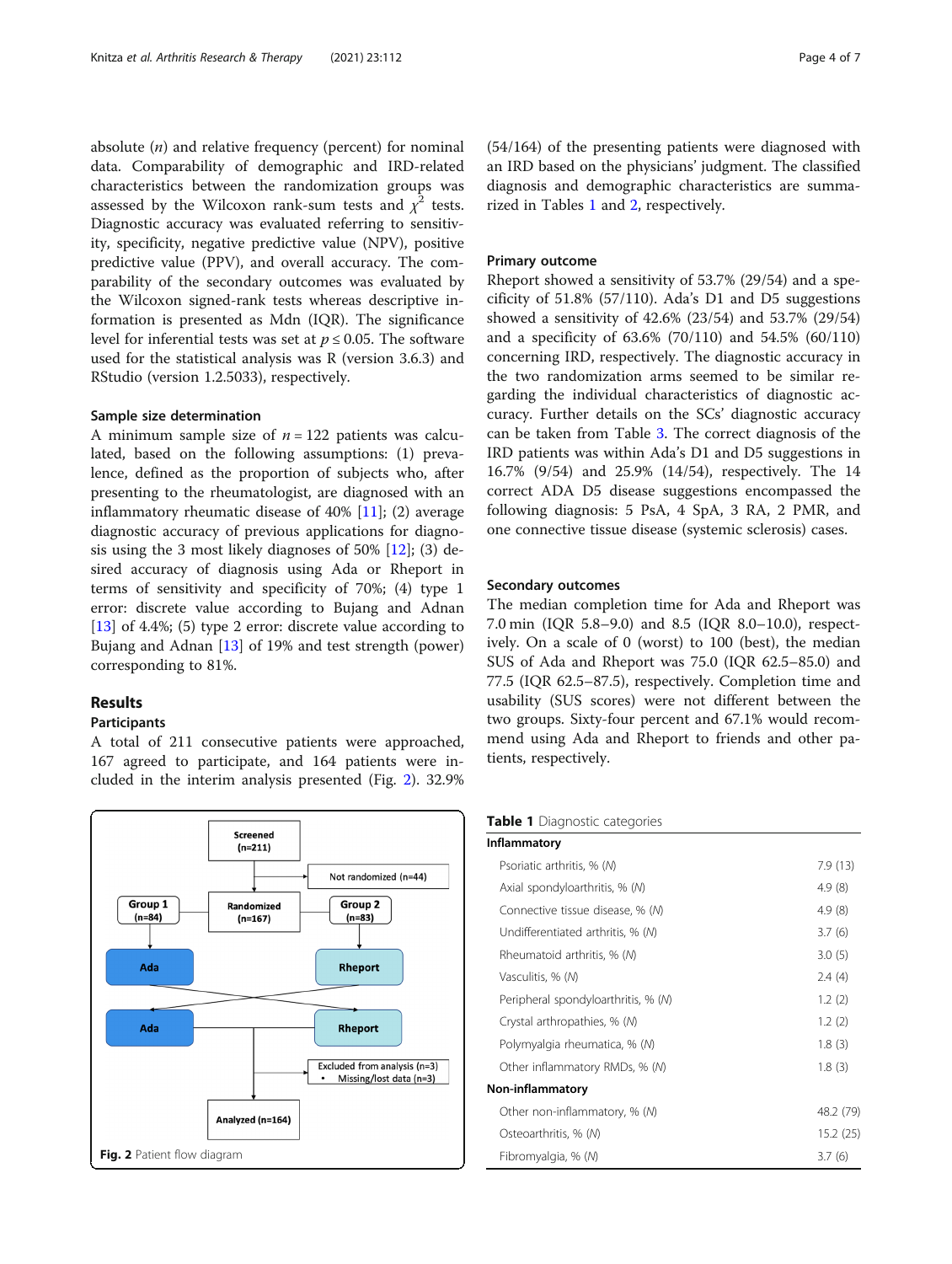absolute  $(n)$  and relative frequency (percent) for nominal data. Comparability of demographic and IRD-related characteristics between the randomization groups was assessed by the Wilcoxon rank-sum tests and  $\chi^2$  tests. Diagnostic accuracy was evaluated referring to sensitivity, specificity, negative predictive value (NPV), positive predictive value (PPV), and overall accuracy. The comparability of the secondary outcomes was evaluated by the Wilcoxon signed-rank tests whereas descriptive information is presented as Mdn (IQR). The significance level for inferential tests was set at  $p \le 0.05$ . The software used for the statistical analysis was R (version 3.6.3) and RStudio (version 1.2.5033), respectively.

#### Sample size determination

A minimum sample size of  $n = 122$  patients was calculated, based on the following assumptions: (1) prevalence, defined as the proportion of subjects who, after presenting to the rheumatologist, are diagnosed with an inflammatory rheumatic disease of  $40\%$  [[11\]](#page-6-0); (2) average diagnostic accuracy of previous applications for diagnosis using the 3 most likely diagnoses of 50% [\[12](#page-6-0)]; (3) desired accuracy of diagnosis using Ada or Rheport in terms of sensitivity and specificity of 70%; (4) type 1 error: discrete value according to Bujang and Adnan [[13\]](#page-6-0) of 4.4%; (5) type 2 error: discrete value according to Bujang and Adnan [[13](#page-6-0)] of 19% and test strength (power) corresponding to 81%.

#### Results

## Participants

A total of 211 consecutive patients were approached, 167 agreed to participate, and 164 patients were included in the interim analysis presented (Fig. 2). 32.9%



(54/164) of the presenting patients were diagnosed with an IRD based on the physicians' judgment. The classified diagnosis and demographic characteristics are summarized in Tables 1 and [2](#page-4-0), respectively.

#### Primary outcome

Rheport showed a sensitivity of 53.7% (29/54) and a specificity of  $51.8\%$  ( $57/110$ ). Ada's D1 and D5 suggestions showed a sensitivity of 42.6% (23/54) and 53.7% (29/54) and a specificity of 63.6% (70/110) and 54.5% (60/110) concerning IRD, respectively. The diagnostic accuracy in the two randomization arms seemed to be similar regarding the individual characteristics of diagnostic accuracy. Further details on the SCs' diagnostic accuracy can be taken from Table [3.](#page-5-0) The correct diagnosis of the IRD patients was within Ada's D1 and D5 suggestions in 16.7% (9/54) and 25.9% (14/54), respectively. The 14 correct ADA D5 disease suggestions encompassed the following diagnosis: 5 PsA, 4 SpA, 3 RA, 2 PMR, and one connective tissue disease (systemic sclerosis) cases.

#### Secondary outcomes

The median completion time for Ada and Rheport was 7.0 min (IQR 5.8–9.0) and 8.5 (IQR 8.0–10.0), respectively. On a scale of 0 (worst) to 100 (best), the median SUS of Ada and Rheport was 75.0 (IQR 62.5–85.0) and 77.5 (IQR 62.5–87.5), respectively. Completion time and usability (SUS scores) were not different between the two groups. Sixty-four percent and 67.1% would recommend using Ada and Rheport to friends and other patients, respectively.

#### Table 1 Diagnostic categories

| Inflammatory                        |           |
|-------------------------------------|-----------|
| Psoriatic arthritis, % (M)          | 7.9(13)   |
| Axial spondyloarthritis, % (M)      | 4.9(8)    |
| Connective tissue disease, % (M)    | 4.9(8)    |
| Undifferentiated arthritis, % (M)   | 3.7(6)    |
| Rheumatoid arthritis, % (M)         | 3.0(5)    |
| Vasculitis, % (M)                   | 2.4(4)    |
| Peripheral spondyloarthritis, % (M) | 1.2(2)    |
| Crystal arthropathies, % (M)        | 1.2(2)    |
| Polymyalgia rheumatica, % (M)       | 1.8(3)    |
| Other inflammatory RMDs, % (M)      | 1.8(3)    |
| Non-inflammatory                    |           |
| Other non-inflammatory, % (N)       | 48.2 (79) |
| Osteoarthritis, % (M)               | 15.2(25)  |
| Fibromyalgia, % (M)                 | 3.7(6)    |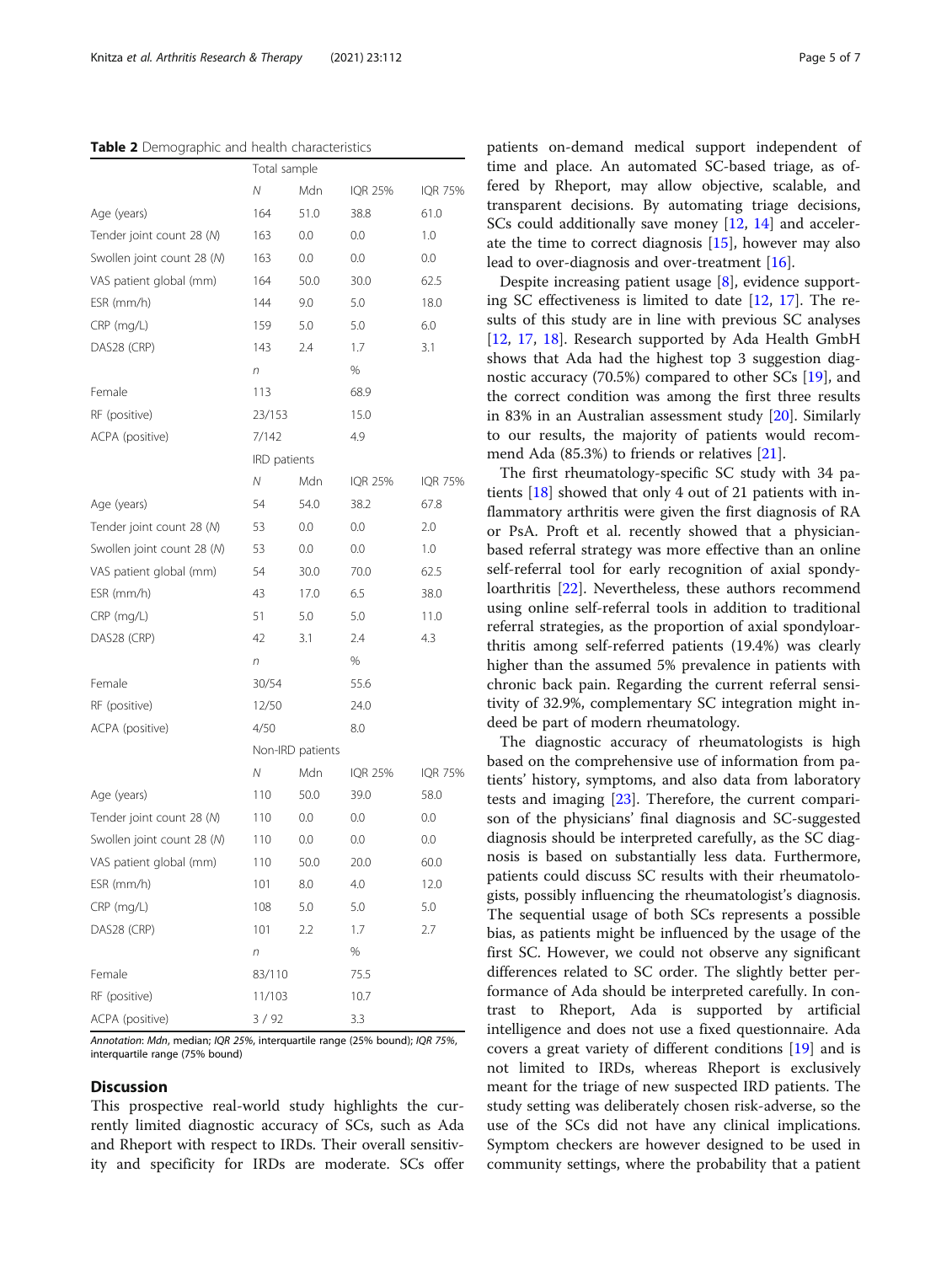#### <span id="page-4-0"></span>Table 2 Demographic and health characteristics

|                            |              | Total sample     |                |                |  |
|----------------------------|--------------|------------------|----------------|----------------|--|
|                            | N            | Mdn              | <b>IQR 25%</b> | IQR 75%        |  |
| Age (years)                | 164          | 51.0             | 38.8           | 61.0           |  |
| Tender joint count 28 (N)  | 163          | 0.0              | 0.0            | 1.0            |  |
| Swollen joint count 28 (N) | 163          | 0.0              | 0.0            | 0.0            |  |
| VAS patient global (mm)    | 164          | 50.0             | 30.0           | 62.5           |  |
| $ESR$ (mm/h)               | 144          | 9.0              | 5.0            | 18.0           |  |
| $CRP$ (mg/L)               | 159          | 5.0              | 5.0            | 6.0            |  |
| DAS28 (CRP)                | 143          | 2.4              | 1.7            | 3.1            |  |
|                            | n            |                  | %              |                |  |
| Female                     | 113          |                  | 68.9           |                |  |
| RF (positive)              |              | 23/153           |                | 15.0           |  |
| ACPA (positive)            | 7/142        |                  | 4.9            |                |  |
|                            | IRD patients |                  |                |                |  |
|                            | Ν            | Mdn              | <b>IQR 25%</b> | <b>IQR 75%</b> |  |
| Age (years)                | 54           | 54.0             | 38.2           | 67.8           |  |
| Tender joint count 28 (N)  | 53           | 0.0              | 0.0            | 2.0            |  |
| Swollen joint count 28 (N) | 53           | 0.0              | 0.0            | 1.0            |  |
| VAS patient global (mm)    | 54           | 30.0             | 70.0           | 62.5           |  |
| ESR (mm/h)                 | 43           | 17.0             | 6.5            | 38.0           |  |
| CRP (mg/L)                 | 51           | 5.0              | 5.0            | 11.0           |  |
| DAS28 (CRP)                | 42           | 3.1              | 2.4            | 4.3            |  |
|                            | n            |                  | %              |                |  |
| Female                     | 30/54        |                  |                | 55.6           |  |
| RF (positive)              | 12/50        |                  | 24.0           |                |  |
| ACPA (positive)            | 4/50         |                  | 8.0            |                |  |
|                            |              | Non-IRD patients |                |                |  |
|                            | Ν            | Mdn              | <b>IQR 25%</b> | IQR 75%        |  |
| Age (years)                | 110          | 50.0             | 39.0           | 58.0           |  |
| Tender joint count 28 (N)  | 110          | 0.0              | 0.0            | 0.0            |  |
| Swollen joint count 28 (M) | 110          | 0.0              | 0.0            | 0.0            |  |
| VAS patient global (mm)    | 110          | 50.0             | 20.0           | 60.0           |  |
| ESR (mm/h)                 | 101          | 8.0              | 4.0            | 12.0           |  |
| CRP (mg/L)                 | 108          | 5.0              | 5.0            | 5.0            |  |
| DAS28 (CRP)                | 101          | 2.2              | 1.7            | 2.7            |  |
|                            | n            |                  | %              |                |  |
| Female                     | 83/110       |                  | 75.5           |                |  |
| RF (positive)              | 11/103       |                  | 10.7           |                |  |
| ACPA (positive)            | 3/92         |                  | 3.3            |                |  |

Annotation: Mdn, median; IQR 25%, interquartile range (25% bound); IQR 75%, interquartile range (75% bound)

# **Discussion**

This prospective real-world study highlights the currently limited diagnostic accuracy of SCs, such as Ada and Rheport with respect to IRDs. Their overall sensitivity and specificity for IRDs are moderate. SCs offer patients on-demand medical support independent of time and place. An automated SC-based triage, as offered by Rheport, may allow objective, scalable, and transparent decisions. By automating triage decisions, SCs could additionally save money [\[12,](#page-6-0) [14](#page-6-0)] and accelerate the time to correct diagnosis  $[15]$ , however may also lead to over-diagnosis and over-treatment [[16](#page-6-0)].

Despite increasing patient usage [[8](#page-6-0)], evidence supporting SC effectiveness is limited to date [[12](#page-6-0), [17](#page-6-0)]. The results of this study are in line with previous SC analyses [[12,](#page-6-0) [17,](#page-6-0) [18\]](#page-6-0). Research supported by Ada Health GmbH shows that Ada had the highest top 3 suggestion diagnostic accuracy (70.5%) compared to other SCs [\[19](#page-6-0)], and the correct condition was among the first three results in 83% in an Australian assessment study [\[20\]](#page-6-0). Similarly to our results, the majority of patients would recommend Ada (85.3%) to friends or relatives [[21\]](#page-6-0).

The first rheumatology-specific SC study with 34 patients [\[18](#page-6-0)] showed that only 4 out of 21 patients with inflammatory arthritis were given the first diagnosis of RA or PsA. Proft et al. recently showed that a physicianbased referral strategy was more effective than an online self-referral tool for early recognition of axial spondyloarthritis [[22\]](#page-6-0). Nevertheless, these authors recommend using online self-referral tools in addition to traditional referral strategies, as the proportion of axial spondyloarthritis among self-referred patients (19.4%) was clearly higher than the assumed 5% prevalence in patients with chronic back pain. Regarding the current referral sensitivity of 32.9%, complementary SC integration might indeed be part of modern rheumatology.

The diagnostic accuracy of rheumatologists is high based on the comprehensive use of information from patients' history, symptoms, and also data from laboratory tests and imaging  $[23]$  $[23]$ . Therefore, the current comparison of the physicians' final diagnosis and SC-suggested diagnosis should be interpreted carefully, as the SC diagnosis is based on substantially less data. Furthermore, patients could discuss SC results with their rheumatologists, possibly influencing the rheumatologist's diagnosis. The sequential usage of both SCs represents a possible bias, as patients might be influenced by the usage of the first SC. However, we could not observe any significant differences related to SC order. The slightly better performance of Ada should be interpreted carefully. In contrast to Rheport, Ada is supported by artificial intelligence and does not use a fixed questionnaire. Ada covers a great variety of different conditions [[19\]](#page-6-0) and is not limited to IRDs, whereas Rheport is exclusively meant for the triage of new suspected IRD patients. The study setting was deliberately chosen risk-adverse, so the use of the SCs did not have any clinical implications. Symptom checkers are however designed to be used in community settings, where the probability that a patient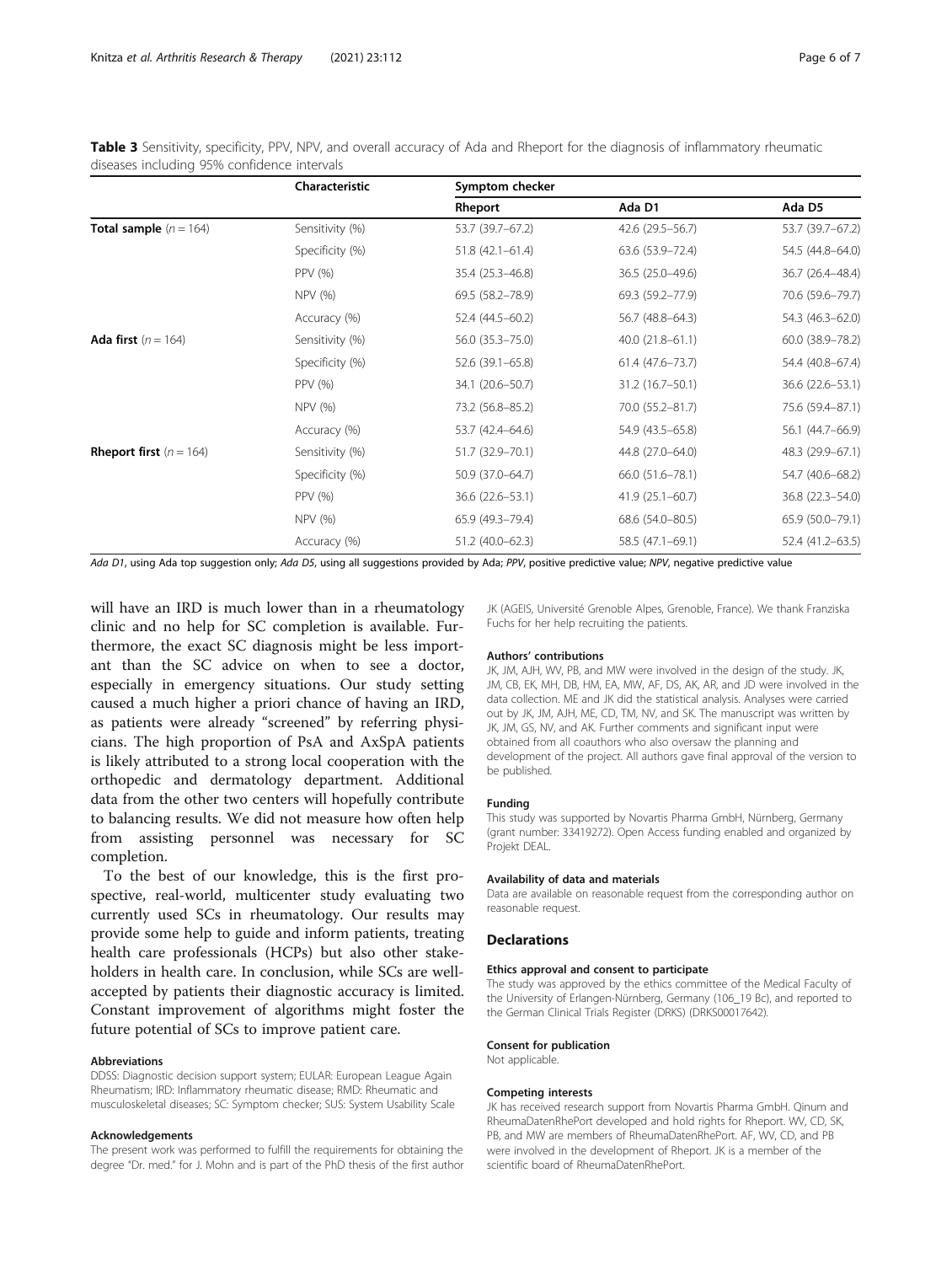<span id="page-5-0"></span>Table 3 Sensitivity, specificity, PPV, NPV, and overall accuracy of Ada and Rheport for the diagnosis of inflammatory rheumatic diseases including 95% confidence intervals

|                                    | Characteristic  | Symptom checker     |                     |                  |
|------------------------------------|-----------------|---------------------|---------------------|------------------|
|                                    |                 | Rheport             | Ada D1              | Ada D5           |
| <b>Total sample</b> $(n = 164)$    | Sensitivity (%) | 53.7 (39.7–67.2)    | 42.6 (29.5 - 56.7)  | 53.7 (39.7-67.2) |
|                                    | Specificity (%) | $51.8(42.1 - 61.4)$ | 63.6 (53.9 - 72.4)  | 54.5 (44.8-64.0) |
|                                    | PPV (%)         | 35.4 (25.3-46.8)    | 36.5 (25.0-49.6)    | 36.7 (26.4-48.4) |
|                                    | NPV (%)         | 69.5 (58.2-78.9)    | 69.3 (59.2-77.9)    | 70.6 (59.6-79.7) |
|                                    | Accuracy (%)    | 52.4 (44.5-60.2)    | 56.7 (48.8-64.3)    | 54.3 (46.3-62.0) |
| <b>Ada first</b> $(n = 164)$       | Sensitivity (%) | 56.0 (35.3-75.0)    | 40.0 (21.8-61.1)    | 60.0 (38.9-78.2) |
|                                    | Specificity (%) | 52.6 (39.1-65.8)    | $61.4(47.6 - 73.7)$ | 54.4 (40.8-67.4) |
|                                    | PPV (%)         | 34.1 (20.6-50.7)    | 31.2 (16.7-50.1)    | 36.6 (22.6–53.1) |
|                                    | NPV (%)         | 73.2 (56.8-85.2)    | 70.0 (55.2-81.7)    | 75.6 (59.4-87.1) |
|                                    | Accuracy (%)    | 53.7 (42.4–64.6)    | 54.9 (43.5 - 65.8)  | 56.1 (44.7-66.9) |
| <b>Rheport first</b> ( $n = 164$ ) | Sensitivity (%) | 51.7 (32.9 - 70.1)  | 44.8 (27.0-64.0)    | 48.3 (29.9-67.1) |
|                                    | Specificity (%) | 50.9 (37.0-64.7)    | 66.0 (51.6 - 78.1)  | 54.7 (40.6-68.2) |
|                                    | PPV (%)         | 36.6 (22.6–53.1)    | $41.9(25.1 - 60.7)$ | 36.8 (22.3-54.0) |
|                                    | NPV (%)         | 65.9 (49.3-79.4)    | 68.6 (54.0-80.5)    | 65.9 (50.0-79.1) |
|                                    | Accuracy (%)    | 51.2 (40.0-62.3)    | 58.5 (47.1-69.1)    | 52.4 (41.2-63.5) |

Ada D1, using Ada top suggestion only; Ada D5, using all suggestions provided by Ada; PPV, positive predictive value; NPV, negative predictive value

will have an IRD is much lower than in a rheumatology clinic and no help for SC completion is available. Furthermore, the exact SC diagnosis might be less important than the SC advice on when to see a doctor, especially in emergency situations. Our study setting caused a much higher a priori chance of having an IRD, as patients were already "screened" by referring physicians. The high proportion of PsA and AxSpA patients is likely attributed to a strong local cooperation with the orthopedic and dermatology department. Additional data from the other two centers will hopefully contribute to balancing results. We did not measure how often help from assisting personnel was necessary for SC completion.

To the best of our knowledge, this is the first prospective, real-world, multicenter study evaluating two currently used SCs in rheumatology. Our results may provide some help to guide and inform patients, treating health care professionals (HCPs) but also other stakeholders in health care. In conclusion, while SCs are wellaccepted by patients their diagnostic accuracy is limited. Constant improvement of algorithms might foster the future potential of SCs to improve patient care.

#### Abbreviations

DDSS: Diagnostic decision support system; EULAR: European League Again Rheumatism; IRD: Inflammatory rheumatic disease; RMD: Rheumatic and musculoskeletal diseases; SC: Symptom checker; SUS: System Usability Scale

#### Acknowledgements

The present work was performed to fulfill the requirements for obtaining the degree "Dr. med." for J. Mohn and is part of the PhD thesis of the first author

JK (AGEIS, Université Grenoble Alpes, Grenoble, France). We thank Franziska Fuchs for her help recruiting the patients.

#### Authors' contributions

JK, JM, AJH, WV, PB, and MW were involved in the design of the study. JK, JM, CB, EK, MH, DB, HM, EA, MW, AF, DS, AK, AR, and JD were involved in the data collection. ME and JK did the statistical analysis. Analyses were carried out by JK, JM, AJH, ME, CD, TM, NV, and SK. The manuscript was written by JK, JM, GS, NV, and AK. Further comments and significant input were obtained from all coauthors who also oversaw the planning and development of the project. All authors gave final approval of the version to be published.

#### Funding

This study was supported by Novartis Pharma GmbH, Nürnberg, Germany (grant number: 33419272). Open Access funding enabled and organized by Projekt DEAL.

#### Availability of data and materials

Data are available on reasonable request from the corresponding author on reasonable request.

#### Declarations

#### Ethics approval and consent to participate

The study was approved by the ethics committee of the Medical Faculty of the University of Erlangen-Nürnberg, Germany (106\_19 Bc), and reported to the German Clinical Trials Register (DRKS) (DRKS00017642).

#### Consent for publication

Not applicable.

#### Competing interests

JK has received research support from Novartis Pharma GmbH. Qinum and RheumaDatenRhePort developed and hold rights for Rheport. WV, CD, SK, PB, and MW are members of RheumaDatenRhePort. AF, WV, CD, and PB were involved in the development of Rheport. JK is a member of the scientific board of RheumaDatenRhePort.